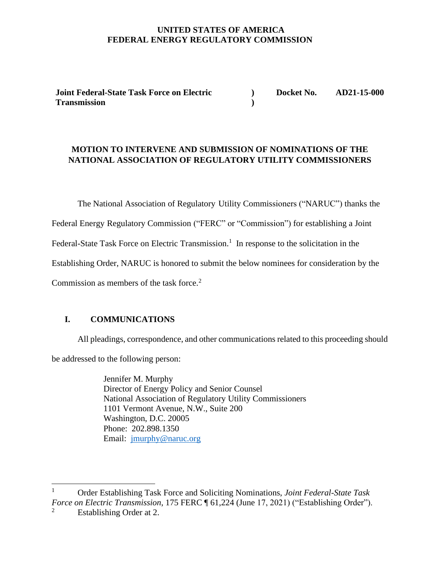### **UNITED STATES OF AMERICA FEDERAL ENERGY REGULATORY COMMISSION**

**Joint Federal-State Task Force on Electric Transmission**

**Docket No. AD21-15-000**

### **MOTION TO INTERVENE AND SUBMISSION OF NOMINATIONS OF THE NATIONAL ASSOCIATION OF REGULATORY UTILITY COMMISSIONERS**

**) )**

The National Association of Regulatory Utility Commissioners ("NARUC") thanks the

Federal Energy Regulatory Commission ("FERC" or "Commission") for establishing a Joint

Federal-State Task Force on Electric Transmission.<sup>1</sup> In response to the solicitation in the

Establishing Order, NARUC is honored to submit the below nominees for consideration by the

Commission as members of the task force.<sup>2</sup>

### **I. COMMUNICATIONS**

All pleadings, correspondence, and other communications related to this proceeding should

be addressed to the following person:

Jennifer M. Murphy Director of Energy Policy and Senior Counsel National Association of Regulatory Utility Commissioners 1101 Vermont Avenue, N.W., Suite 200 Washington, D.C. 20005 Phone: 202.898.1350 Email: [jmurphy@naruc.org](mailto:jmurphy@naruc.org)

<sup>1</sup> Order Establishing Task Force and Soliciting Nominations, *Joint Federal-State Task Force on Electric Transmission*, 175 FERC ¶ 61,224 (June 17, 2021) ("Establishing Order").

Establishing Order at 2.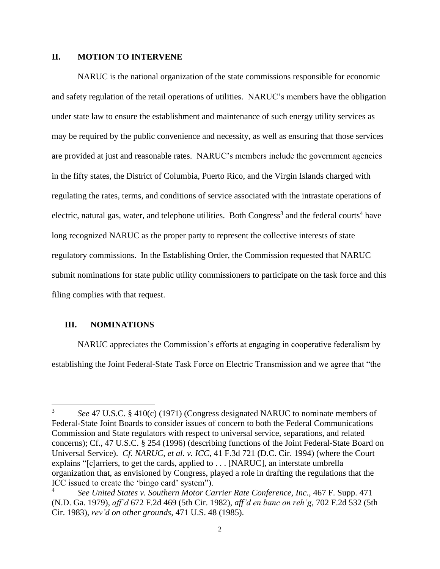#### **II. MOTION TO INTERVENE**

NARUC is the national organization of the state commissions responsible for economic and safety regulation of the retail operations of utilities. NARUC's members have the obligation under state law to ensure the establishment and maintenance of such energy utility services as may be required by the public convenience and necessity, as well as ensuring that those services are provided at just and reasonable rates. NARUC's members include the government agencies in the fifty states, the District of Columbia, Puerto Rico, and the Virgin Islands charged with regulating the rates, terms, and conditions of service associated with the intrastate operations of electric, natural gas, water, and telephone utilities. Both Congress<sup>3</sup> and the federal courts<sup>4</sup> have long recognized NARUC as the proper party to represent the collective interests of state regulatory commissions. In the Establishing Order, the Commission requested that NARUC submit nominations for state public utility commissioners to participate on the task force and this filing complies with that request.

#### **III. NOMINATIONS**

NARUC appreciates the Commission's efforts at engaging in cooperative federalism by establishing the Joint Federal-State Task Force on Electric Transmission and we agree that "the

<sup>3</sup> *See* 47 U.S.C. § 410(c) (1971) (Congress designated NARUC to nominate members of Federal-State Joint Boards to consider issues of concern to both the Federal Communications Commission and State regulators with respect to universal service, separations, and related concerns); Cf., 47 U.S.C. § 254 (1996) (describing functions of the Joint Federal-State Board on Universal Service). *Cf. NARUC, et al. v. ICC*, 41 F.3d 721 (D.C. Cir. 1994) (where the Court explains "[c]arriers, to get the cards, applied to . . . [NARUC], an interstate umbrella organization that, as envisioned by Congress, played a role in drafting the regulations that the ICC issued to create the 'bingo card' system").

<sup>4</sup> *See United States v. Southern Motor Carrier Rate Conference, Inc.*, 467 F. Supp. 471 (N.D. Ga. 1979), *aff'd* 672 F.2d 469 (5th Cir. 1982), *aff'd en banc on reh'g*, 702 F.2d 532 (5th Cir. 1983), *rev'd on other grounds*, 471 U.S. 48 (1985).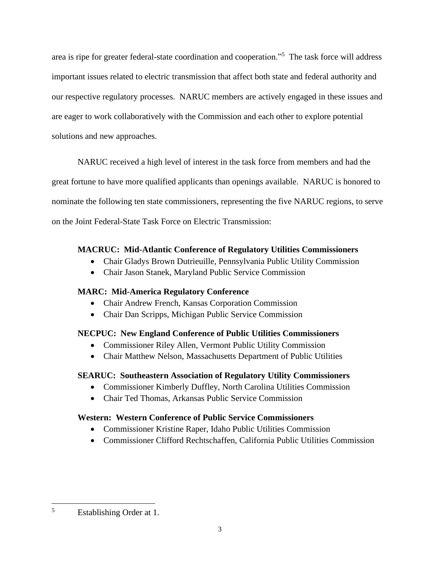area is ripe for greater federal-state coordination and cooperation."<sup>5</sup> The task force will address important issues related to electric transmission that affect both state and federal authority and our respective regulatory processes. NARUC members are actively engaged in these issues and are eager to work collaboratively with the Commission and each other to explore potential solutions and new approaches.

NARUC received a high level of interest in the task force from members and had the

great fortune to have more qualified applicants than openings available. NARUC is honored to

nominate the following ten state commissioners, representing the five NARUC regions, to serve

on the Joint Federal-State Task Force on Electric Transmission:

## **MACRUC: Mid-Atlantic Conference of Regulatory Utilities Commissioners**

- Chair Gladys Brown Dutrieuille, Pennsylvania Public Utility Commission
- Chair Jason Stanek, Maryland Public Service Commission

## **MARC: Mid-America Regulatory Conference**

- Chair Andrew French, Kansas Corporation Commission
- Chair Dan Scripps, Michigan Public Service Commission

## **NECPUC: New England Conference of Public Utilities Commissioners**

- Commissioner Riley Allen, Vermont Public Utility Commission
- Chair Matthew Nelson, Massachusetts Department of Public Utilities

# **SEARUC: Southeastern Association of Regulatory Utility Commissioners**

- Commissioner Kimberly Duffley, North Carolina Utilities Commission
- Chair Ted Thomas, Arkansas Public Service Commission

# **Western: Western Conference of Public Service Commissioners**

- Commissioner Kristine Raper, Idaho Public Utilities Commission
- Commissioner Clifford Rechtschaffen, California Public Utilities Commission

<sup>5</sup> Establishing Order at 1.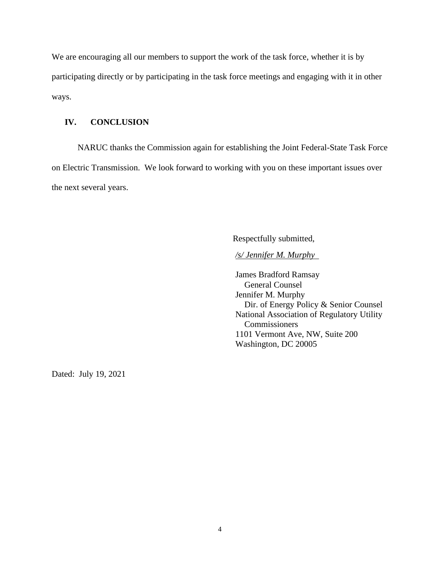We are encouraging all our members to support the work of the task force, whether it is by participating directly or by participating in the task force meetings and engaging with it in other ways.

#### **IV. CONCLUSION**

NARUC thanks the Commission again for establishing the Joint Federal-State Task Force on Electric Transmission. We look forward to working with you on these important issues over the next several years.

Respectfully submitted,

### */s/ Jennifer M. Murphy*

James Bradford Ramsay General Counsel Jennifer M. Murphy Dir. of Energy Policy & Senior Counsel National Association of Regulatory Utility **Commissioners** 1101 Vermont Ave, NW, Suite 200 Washington, DC 20005

Dated: July 19, 2021